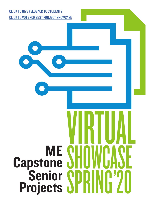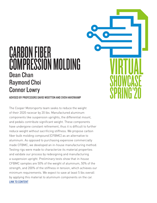## CARBON FIBER COMPRESSION MOLDING Dean Chan Raymond Choi Connor Lowry

**VIRTUAL** 

**SHOWCASE** 

SPRING'20

ADVISED BY PROFESSORS DAVID WOOTTON AND SVEN HAVERKAMP

The Cooper Motorsports team seeks to reduce the weight of their 2020 racecar by 20 lbs. Manufactured aluminum components like suspension uprights, the differential mount, and pedals contribute significant weight. These components have undergone constant refinement, thus it is difficult to further reduce weight without sacrificing stiffness. We propose carbon fiber bulk molding compound [CFBMC] as an alternative to aluminum. As opposed to purchasing expensive commercially made CFBMC, we developed an in-house manufacturing method. Testing rigs were made to characterize its material properties and validate our process by redesigning and manufacturing a suspension upright. Preliminary tests show that in-house CFBMC samples are 50% of the weight of aluminum, 50% of the strength, and 200% of the stiffness in tension, which achieves our minimum requirements. We expect to save at least 5 lbs overall by applying this material to aluminum components on the car. [LINK TO CONTENT](https://readymag.com/u20396484/cfbmc/)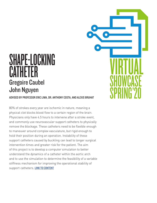## SHAPE-LOCKING **CATHETER** Gregoire Caubel John Nguyen

ADVISED BY PROFESSOR ERIC LIMA, DR. ANTHONY COSTA, AND ALEXIS BRUHAT

**VIRTUAL** 

**SHOWCASE** 

SPRING'20

80% of strokes every year are ischemic in nature, meaning a physical clot blocks blood flow to a certain region of the brain. Physicians only have 4.5 hours to intervene after a stroke event, and commonly use neurovascular support catheters to physically remove the blockage. These catheters need to be flexible enough to maneuver around complex vasculature, but rigid enough to hold their position during an operation. Instability of these support catheters caused by buckling can lead to longer surgical intervention times and greater risk for the patient. The aim of this project is to develop a computer simulation to better understand the dynamics of a catheter within the aortic arch and to use the simulation to determine the feasibility of a variable stiffness mechanism for improving the operational stability of support catheters. [LINK TO CONTENT](https://sway.office.com/jkllyuW2JrGk1tzf?ref=Link)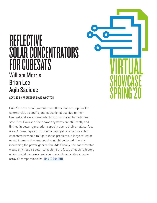## REFLECTIVE SOLAR CONCENTRATORS FOR CUBESATS William Morris Brian Lee Aqib Sadique

ADVISED BY PROFESSOR DAVID WOOTTON

CubeSats are small, modular satellites that are popular for commercial, scientific, and educational use due to their low cost and ease of manufacturing compared to traditional satellites. However, their power systems are still costly and limited in power generation capacity due to their small surface area. A power system utilizing a deployable reflective solar concentrator would mitigate these problems; a large reflector would increase the amount of sunlight collected, thereby increasing the power generation. Additionally, the concentrator would only require solar cells along the focus of each reflector, which would decrease costs compared to a traditional solar array of comparable size. **[LINK TO CONTENT](https://sway.office.com/9eyiwYjVPWNzbaP8?ref=Link)** 

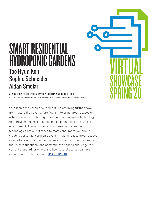#### SMART RESIDENTIAL HYDROPONIC GARDENS Tae Hyun Koh Sophie Schneider Aidan Smolar

ADVISED BY PROFESSORS DAVID WOOTTON AND ROBERT DELL CO-ADVISED BY PROFESSORS NAVEEN SHLAYAN (EE DEPARTMENT) AND AUSTIN WADE (SCHOOL OF ARCHITECTURE)

With increased urban development, we are living further away from nature than ever before. We aim to bring green spaces to urban residents by utilizing hydroponic technology—a technology that provides the essential needs to a plant using an artificial environment. The industrial scale of existing hydroponic technologies are out of reach to most consumers. We aim to create a personal hydroponic system that increases green spaces in small scale urban residential environments through a product that is both functional and aesthetic. We hope to challenge the current standard for where and how natural ecology can exist in an urban residential area. [LINK TO CONTENT](https://sway.office.com/flHqRRPGXGnVW0oO?ref=Link)

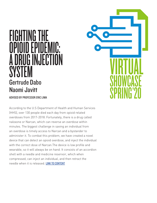# FIGHTING THE OPIOID EPIDEMIC: A DRUG INJECTION **SYSTEM** Gertrude Dabo Naomi Javitt

ADVISED BY PROFESSOR ERIC LIMA

According to the U.S Department of Health and Human Services (HHS), over 130 people died each day from opioid related overdoses from 2017-2018. Fortunately, there is a drug called naloxone or Narcan, which can reverse an overdose within minutes. The biggest challenge in saving an individual from an overdose is timely access to Narcan and a bystander to administer it. To combat this problem, we have created a novel device that can detect an opioid overdose, and inject the individual with the correct dose of Narcan.The device is low profile and wearable, so it will always be on hand. It consists of an accordion shell with a needle and medicine reservoir, which when compressed, can inject an individual, and then retract the needle when it is released. [LINK TO CONTENT](https://sway.office.com/7qDFtAJo783rGbX9?ref=Link)

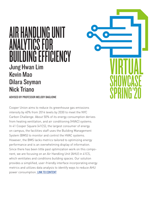## AIR HANDLING UNIT ANALYTICS FOR **UILDING FFFICIENCY** Jung Hwan Lim Kevin Mao Dilara Seyman Nick Triano

ADVISED BY PROFESSOR MELODY BAGLIONE

Cooper Union aims to reduce its greenhouse gas emissions intensity by 40% from 2014 levels by 2030 to meet the NYC Carbon Challenge. About 50% of its energy consumption derives from heating ventilation, and air conditioning (HVAC) systems. In 41 Cooper Square (41CS), the largest consumer of energy on campus, the facilities staff uses the Building Management System (BMS) to monitor and control the HVAC systems. However, the BMS lacks metrics tailored to optimizing energy performance and is an overwhelming display of information. Since there has been little past optimization work on this component, we are focusing on an Air Handling Unit (AHU) in 41CS, which ventilates and conditions building spaces. Our solution provides a simplified, user-friendly interface incorporating energy metrics and utilizes data analysis to identify ways to reduce AHU power consumption. [LINK TO CONTENT](https://sway.office.com/0AutjAhguUwe65A8?ref=Link&fbclid=IwAR0-sKKQPhPilkb8kzEoPIm9CL3XQhoBGl6rfrvIuSWIySsd-EQQ07wJR0o)

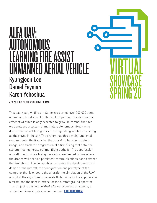## ALFA UAV: AUTONOMOUS **G FIRE ASSIST** NMANNED AFRIAL VFHICLF Kyungjoon Lee Daniel Feyman Karen Yehoshua

**VIRTUAL** 

**SHOWCASE** 

SPRING'20

ADVISED BY PROFESSOR HAVERKAMP

This past year, wildfires in California burned over 200,000 acres of land and hundreds of millions of properties. The detrimental effect of wildfires is only expected to grow. To combat the fires, we developed a system of multiple, autonomous, fixed- wing drones that assist firefighters in extinguishing wildfires by acting as their eyes in the sky. The system has three main functional requirements; the first is for the aircraft to be able to detect, image, and track the progression of a fire. Using that data, the system must generate optimal flight paths for fire suppression aircraft. Lastly, since firefighter radios are limited by line of site, the drones will act as a persistent communications node between the firefighters. The deliverables comprise the development and design of the aircraft, the configuration and prototype of the computer that is onboard the aircraft, the simulation of the UAV autopilot, the algorithm to generate flight paths for fire suppression aircraft, and the user interface for the aircraft ground operator. This project is part of the 2020 SAE Aeroconnect Challenge, a student engineering design competition. **[LINK TO CONTENT](https://sway.office.com/GQDUMAxIsM2OWf3G?ref=Link)**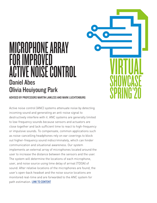## MICROPHONE ARRAY FOR IMPROVED ACTIVE NOISE CONTROL Daniel Abes Olivia Heuiyoung Park

**VIRTUAL** 

**SHOWCASE** 

SPRING'20

ADVISED BY PROFESSORS MARTIN LAWLESS AND MARK LUCHTENBURG

Active noise control (ANC) systems attenuate noise by detecting incoming sound and generating an anti-noise signal to destructively interfere with it. ANC systems are generally limited to low-frequency sounds because sensors and actuators are close together and lack sufficient time to react to high-frequency or impulsive sounds. To compensate, common applications such as noise-cancelling headphones rely on ear coverings to block out higher-frequency sound indiscriminately, which can hinder communication and situational awareness. Our system implements an external array of microphones located around the user to increase the distance between the sensors and the user. The system will determine the locations of each microphone, user, and noise source using time delay of arrival (TDOA) of sound. After relative locations of the microphones are found, the user's open-back headset and the noise source locations are monitored real-time and are forwarded to the ANC system for path estimation. [LINK TO CONTENT](https://sway.office.com/YQrbxLMFsXXAIKmZ?ref=Link)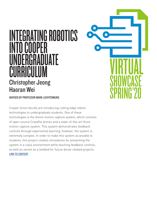# INTEGRATING ROBOTICS INTO COOPFR **GRADUATE** IIRRI Christopher Jeong Haoran Wei

ADVISED BY PROFESSOR MARK LUCHTENBURG

Cooper Union faculty are introducing cutting edge robotic technologies to undergraduate students. One of these technologies is the drone-motion capture system, which consists of open-source Crazyflie drones and a state-of-the-art Vicon motion capture system. This system demonstrates feedback controls through experiential learning, however, the system is extremely complex. In order to make this system accessible to students, this project creates simulations for presenting the system in a class environment while teaching feedback controls, as well as serves as a testbed for future drone-related projects. [LINK TO CONTENT](https://sway.office.com/GMlhwfWrHz9BnCoN?ref=Link)

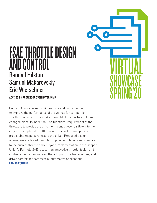#### FSAE THROTTLE DESIGN **AND CONTROL** Randall Hilston Samuel Makarovskiy Eric Wietschner

ADVISED BY PROFESSOR SVEN HAVERKAMP

Cooper Union's Formula SAE racecar is designed annually to improve the performance of the vehicle for competition. The throttle body on the intake manifold of the car has not been changed since its inception. The functional requirement of the throttle is to provide the driver with control over air flow into the engine. The optimal throttle maximizes air flow and provides predictable responsiveness to the driver. Proposed design alternatives are tested through computer simulations and compared to the current throttle body. Beyond implementation in the Cooper Union's Formula SAE racecar, an innovative throttle design and control schema can inspire others to prioritize fuel economy and driver comfort for commercial automotive applications. [LINK TO CONTENT](https://sway.office.com/PbHIJNOvYK4O2zHE?ref=Link)

# **VIRTUAL SHOWCASE** SPRING'20